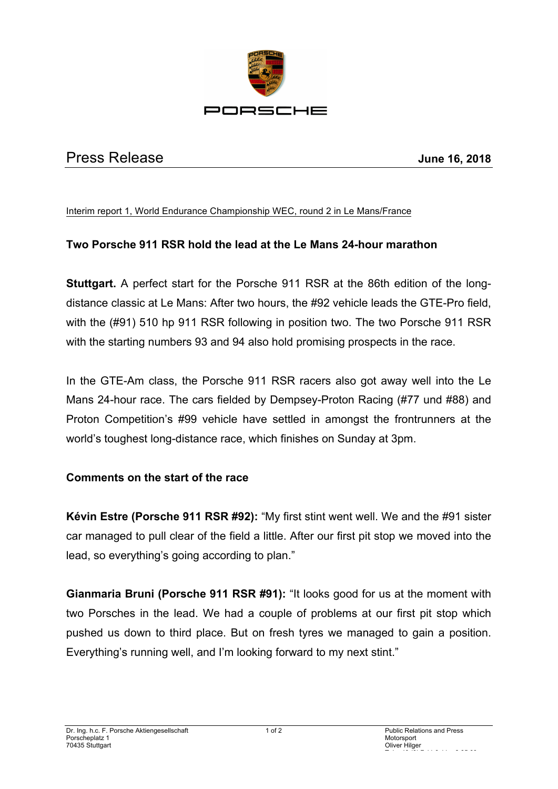

## Press Release **June 16, 2018**

Interim report 1, World Endurance Championship WEC, round 2 in Le Mans/France

## **Two Porsche 911 RSR hold the lead at the Le Mans 24-hour marathon**

**Stuttgart.** A perfect start for the Porsche 911 RSR at the 86th edition of the longdistance classic at Le Mans: After two hours, the #92 vehicle leads the GTE-Pro field, with the (#91) 510 hp 911 RSR following in position two. The two Porsche 911 RSR with the starting numbers 93 and 94 also hold promising prospects in the race.

In the GTE-Am class, the Porsche 911 RSR racers also got away well into the Le Mans 24-hour race. The cars fielded by Dempsey-Proton Racing (#77 und #88) and Proton Competition's #99 vehicle have settled in amongst the frontrunners at the world's toughest long-distance race, which finishes on Sunday at 3pm.

## **Comments on the start of the race**

**Kévin Estre (Porsche 911 RSR #92):** "My first stint went well. We and the #91 sister car managed to pull clear of the field a little. After our first pit stop we moved into the lead, so everything's going according to plan."

**Gianmaria Bruni (Porsche 911 RSR #91):** "It looks good for us at the moment with two Porsches in the lead. We had a couple of problems at our first pit stop which pushed us down to third place. But on fresh tyres we managed to gain a position. Everything's running well, and I'm looking forward to my next stint."